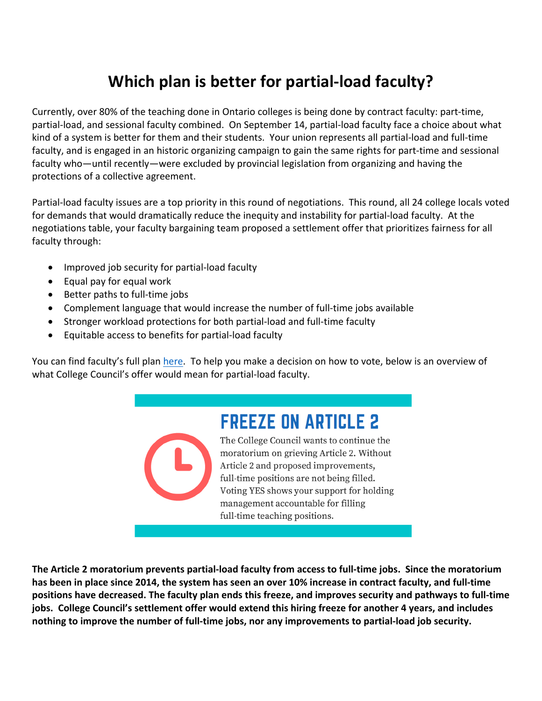## **Which plan is better for partial-load faculty?**

Currently, over 80% of the teaching done in Ontario colleges is being done by contract faculty: part-time, partial-load, and sessional faculty combined. On September 14, partial-load faculty face a choice about what kind of a system is better for them and their students. Your union represents all partial-load and full-time faculty, and is engaged in an historic organizing campaign to gain the same rights for part-time and sessional faculty who—until recently—were excluded by provincial legislation from organizing and having the protections of a collective agreement.

Partial-load faculty issues are a top priority in this round of negotiations. This round, all 24 college locals voted for demands that would dramatically reduce the inequity and instability for partial-load faculty. At the negotiations table, your faculty bargaining team proposed a settlement offer that prioritizes fairness for all faculty through:

- Improved job security for partial-load faculty
- $\bullet$  Equal pay for equal work
- Better paths to full-time jobs
- Complement language that would increase the number of full-time jobs available
- Stronger workload protections for both partial-load and full-time faculty
- Equitable access to benefits for partial-load faculty

You can find faculty's full plan here. To help you make a decision on how to vote, below is an overview of what College Council's offer would mean for partial-load faculty.

## **FREEZE ON ARTICLE 2**

The College Council wants to continue the moratorium on grieving Article 2. Without Article 2 and proposed improvements, full-time positions are not being filled. Voting YES shows your support for holding management accountable for filling full-time teaching positions.

The Article 2 moratorium prevents partial-load faculty from access to full-time jobs. Since the moratorium has been in place since 2014, the system has seen an over 10% increase in contract faculty, and full-time **positions have decreased.** The faculty plan ends this freeze, and improves security and pathways to full-time jobs. College Council's settlement offer would extend this hiring freeze for another 4 years, and includes nothing to improve the number of full-time jobs, nor any improvements to partial-load job security.